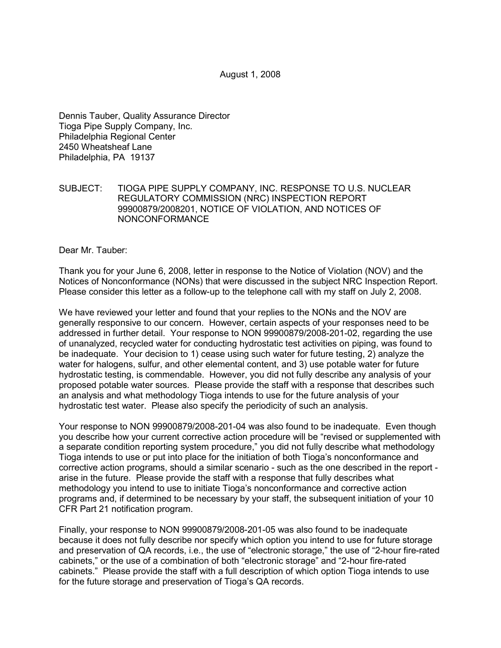Dennis Tauber, Quality Assurance Director Tioga Pipe Supply Company, Inc. Philadelphia Regional Center 2450 Wheatsheaf Lane Philadelphia, PA 19137

## SUBJECT: TIOGA PIPE SUPPLY COMPANY, INC. RESPONSE TO U.S. NUCLEAR REGULATORY COMMISSION (NRC) INSPECTION REPORT 99900879/2008201, NOTICE OF VIOLATION, AND NOTICES OF NONCONFORMANCE

Dear Mr. Tauber:

Thank you for your June 6, 2008, letter in response to the Notice of Violation (NOV) and the Notices of Nonconformance (NONs) that were discussed in the subject NRC Inspection Report. Please consider this letter as a follow-up to the telephone call with my staff on July 2, 2008.

We have reviewed your letter and found that your replies to the NONs and the NOV are generally responsive to our concern. However, certain aspects of your responses need to be addressed in further detail. Your response to NON 99900879/2008-201-02, regarding the use of unanalyzed, recycled water for conducting hydrostatic test activities on piping, was found to be inadequate. Your decision to 1) cease using such water for future testing, 2) analyze the water for halogens, sulfur, and other elemental content, and 3) use potable water for future hydrostatic testing, is commendable. However, you did not fully describe any analysis of your proposed potable water sources. Please provide the staff with a response that describes such an analysis and what methodology Tioga intends to use for the future analysis of your hydrostatic test water. Please also specify the periodicity of such an analysis.

Your response to NON 99900879/2008-201-04 was also found to be inadequate. Even though you describe how your current corrective action procedure will be "revised or supplemented with a separate condition reporting system procedure," you did not fully describe what methodology Tioga intends to use or put into place for the initiation of both Tioga's nonconformance and corrective action programs, should a similar scenario - such as the one described in the report arise in the future. Please provide the staff with a response that fully describes what methodology you intend to use to initiate Tioga's nonconformance and corrective action programs and, if determined to be necessary by your staff, the subsequent initiation of your 10 CFR Part 21 notification program.

Finally, your response to NON 99900879/2008-201-05 was also found to be inadequate because it does not fully describe nor specify which option you intend to use for future storage and preservation of QA records, i.e., the use of "electronic storage," the use of "2-hour fire-rated cabinets," or the use of a combination of both "electronic storage" and "2-hour fire-rated cabinets." Please provide the staff with a full description of which option Tioga intends to use for the future storage and preservation of Tioga's QA records.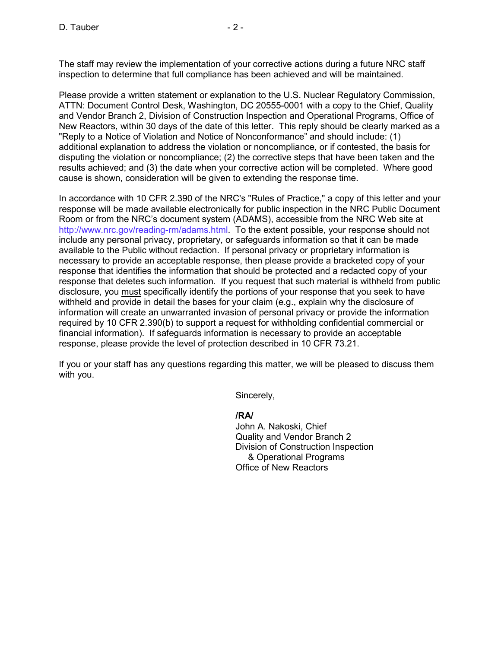The staff may review the implementation of your corrective actions during a future NRC staff inspection to determine that full compliance has been achieved and will be maintained.

Please provide a written statement or explanation to the U.S. Nuclear Regulatory Commission, ATTN: Document Control Desk, Washington, DC 20555-0001 with a copy to the Chief, Quality and Vendor Branch 2, Division of Construction Inspection and Operational Programs, Office of New Reactors, within 30 days of the date of this letter. This reply should be clearly marked as a "Reply to a Notice of Violation and Notice of Nonconformance" and should include: (1) additional explanation to address the violation or noncompliance, or if contested, the basis for disputing the violation or noncompliance; (2) the corrective steps that have been taken and the results achieved; and (3) the date when your corrective action will be completed. Where good cause is shown, consideration will be given to extending the response time.

In accordance with 10 CFR 2.390 of the NRC's "Rules of Practice," a copy of this letter and your response will be made available electronically for public inspection in the NRC Public Document Room or from the NRC's document system (ADAMS), accessible from the NRC Web site at http://www.nrc.gov/reading-rm/adams.html. To the extent possible, your response should not include any personal privacy, proprietary, or safeguards information so that it can be made available to the Public without redaction. If personal privacy or proprietary information is necessary to provide an acceptable response, then please provide a bracketed copy of your response that identifies the information that should be protected and a redacted copy of your response that deletes such information. If you request that such material is withheld from public disclosure, you must specifically identify the portions of your response that you seek to have withheld and provide in detail the bases for your claim (e.g., explain why the disclosure of information will create an unwarranted invasion of personal privacy or provide the information required by 10 CFR 2.390(b) to support a request for withholding confidential commercial or financial information). If safeguards information is necessary to provide an acceptable response, please provide the level of protection described in 10 CFR 73.21.

If you or your staff has any questions regarding this matter, we will be pleased to discuss them with you.

Sincerely,

**/RA/** 

John A. Nakoski, Chief Quality and Vendor Branch 2 Division of Construction Inspection & Operational Programs Office of New Reactors